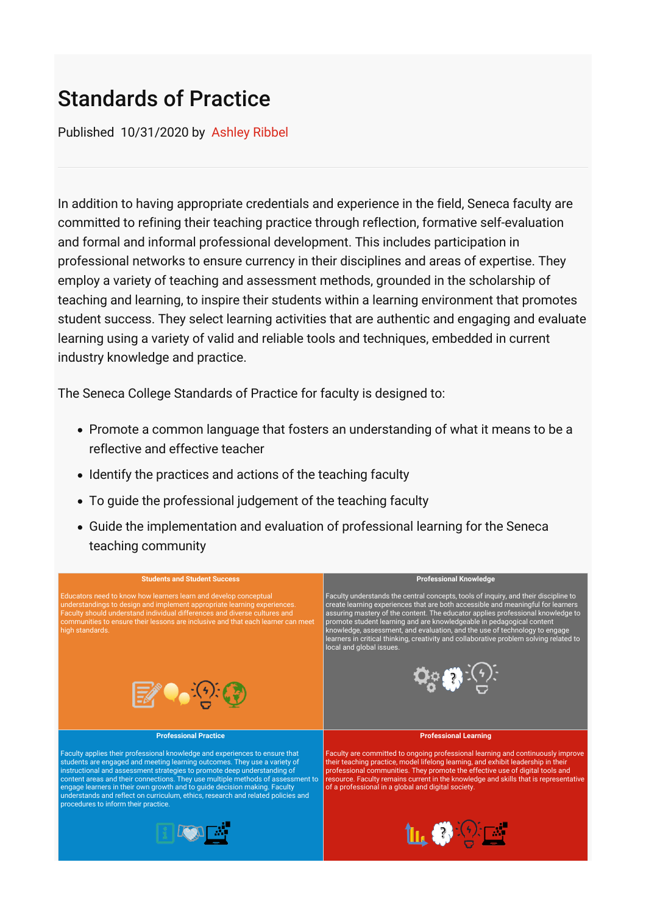## Standards of Practice

Published 10/31/2020 by [Ashley Ribbel](https://employees.senecacollege.ca/people/ashley-ribbel)

In addition to having appropriate credentials and experience in the field, Seneca faculty are committed to refining their teaching practice through reflection, formative self-evaluation and formal and informal professional development. This includes participation in professional networks to ensure currency in their disciplines and areas of expertise. They employ a variety of teaching and assessment methods, grounded in the scholarship of teaching and learning, to inspire their students within a learning environment that promotes student success. They select learning activities that are authentic and engaging and evaluate learning using a variety of valid and reliable tools and techniques, embedded in current industry knowledge and practice.

The Seneca College Standards of Practice for faculty is designed to:

- Promote a common language that fosters an understanding of what it means to be a reflective and effective teacher
- Identify the practices and actions of the teaching faculty
- To guide the professional judgement of the teaching faculty
- Guide the implementation and evaluation of professional learning for the Seneca teaching community